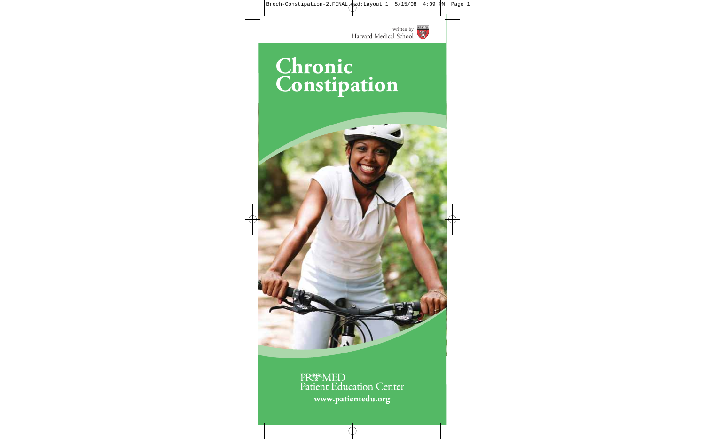

# **Chronic Constipation**



PR<sup>epa</sup>MED<br>Patient Education Center **www.patientedu.org**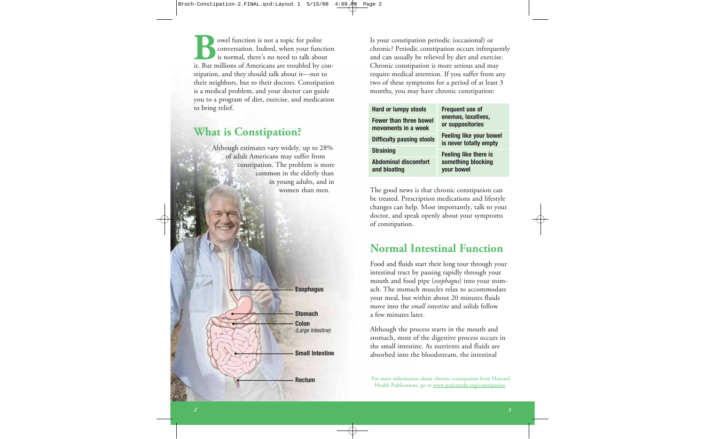owel function is not a topic for polite conversation. Indeed, when your function is normal, there's no need to talk about **But millions** is not a topic for polite<br>
is normal, there's no need to talk about<br>
it. But millions of Americans are troubled by constipation, and they should talk about it—not to their neighbors, but to their doctors. Constipation is a medical problem, and your doctor can guide you to a program of diet, exercise, and medication to bring relief.

## **What is Constipation?**

Although estimates vary widely, up to 28% of adult Americans may suffer from constipation. The problem is more common in the elderly than in young adults, and in women than men.

**Esophagus**

**Colon** *(Large Intestine)* **Stomach**

#### **Small Intestine**

**Rectum**

Is your constipation periodic (occasional) or chronic? Periodic constipation occurs infrequently and can usually be relieved by diet and exercise. Chronic constipation is more serious and may require medical attention. If you suffer from any two of these symptoms for a period of at least 3 months, you may have chronic constipation:

| <b>Hard or lumpy stools</b>                          | <b>Frequent use of</b><br>enemas, laxatives,<br>or suppositories |  |
|------------------------------------------------------|------------------------------------------------------------------|--|
| <b>Fewer than three bowel</b><br>movements in a week |                                                                  |  |
| <b>Difficulty passing stools</b>                     | <b>Feeling like your bowel</b><br>is never totally empty         |  |
| <b>Straining</b>                                     | <b>Feeling like there is</b>                                     |  |
| Abdominal discomfort<br>and bloating                 | something blocking<br>your bowel                                 |  |

The good news is that chronic constipation can be treated. Prescription medications and lifestyle changes can help. Most importantly, talk to your doctor, and speak openly about your symptoms of constipation.

## **Normal Intestinal Function**

Food and fluids start their long tour through your intestinal tract by passing rapidly through your mouth and food pipe (*esophagus*) into your stomach. The stomach muscles relax to accommodate your meal, but within about 20 minutes fluids move into the *small intestine* and solids follow a few minutes later.

Although the process starts in the mouth and stomach, most of the digestive process occurs in the small intestine. As nutrients and fluids are absorbed into the bloodstream, the intestinal

For more information about chronic constipation from Harvard Health Publications, go to www.patientedu.org/constipation.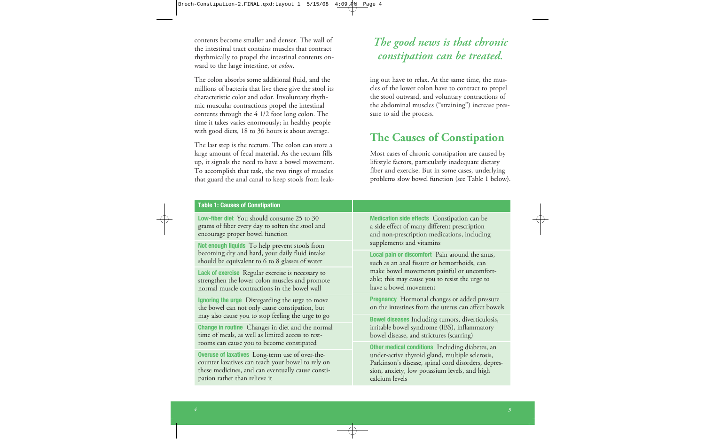contents become smaller and denser. The wall of the intestinal tract contains muscles that contract rhythmically to propel the intestinal contents on ward to the large intestine, or *colon*.

The colon absorbs some additional fluid, and the millions of bacteria that live there give the stool its characteristic color and odor. Involuntary rhythmic muscular contractions propel the intestinal contents through the 4 1/2 foot long colon. The time it takes varies enormously; in healthy people with good diets, 18 to 36 hours is about average.

The last step is the rectum. The colon can store a large amount of fecal material. As the rectum fills up, it signals the need to have a bowel movement. To accomplish that task, the two rings of muscles that guard the anal canal to keep stools from leak-

## *The good news is that chronic constipation can be treated.*

ing out have to relax. At the same time, the muscles of the lower colon have to contract to propel the stool outward, and voluntary contractions of the abdominal muscles ("straining") increase pressure to aid the process.

## **The Causes of Constipation**

Most cases of chronic constipation are caused by lifestyle factors, particularly inadequate dietary fiber and exercise. But in some cases, underlying problems slow bowel function (see Table 1 below).

#### **Table 1: Causes of Constipation**

**Low-fiber diet** You should consume 25 to 30 grams of fiber every day to soften the stool and encourage proper bowel function

**Not enough liquids** To help prevent stools from becoming dry and hard, your daily fluid intake should be equivalent to 6 to 8 glasses of water

**Lack of exercise** Regular exercise is necessary to strengthen the lower colon muscles and promote normal muscle contractions in the bowel wall

**Ignoring the urge** Disregarding the urge to move the bowel can not only cause constipation, but may also cause you to stop feeling the urge to go

**Change in routine** Changes in diet and the normal time of meals, as well as limited access to restrooms can cause you to become constipated

**Overuse of laxatives** Long-term use of over-thecounter laxatives can teach your bowel to rely on these medicines, and can eventually cause constipation rather than relieve it

**Medication side effects** Constipation can be a side effect of many different prescription and non-prescription medications, including supplements and vitamins

**Local pain or discomfort** Pain around the anus, such as an anal fissure or hemorrhoids, can make bowel movements painful or uncomfortable; this may cause you to resist the urge to have a bowel movement

**Pregnancy** Hormonal changes or added pressure on the intestines from the uterus can affect bowels

**Bowel diseases** Including tumors, diverticulosis, irritable bowel syndrome (IBS), inflammatory bowel disease, and strictures (scarring)

**Other medical conditions** Including diabetes, an under-active thyroid gland, multiple sclerosis, Parkinson's disease, spinal cord disorders, depression, anxiety, low potassium levels, and high calcium levels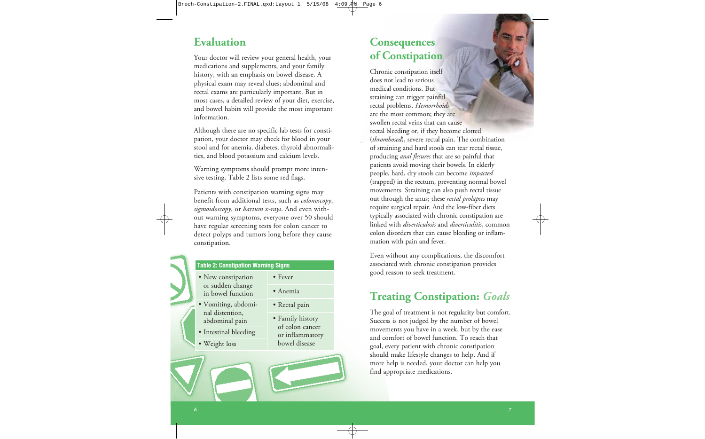## **Evaluation**

Your doctor will review your general health, your medications and supplements, and your family history, with an emphasis on bowel disease. A physical exam may reveal clues; abdominal and rectal exams are particularly important. But in most cases, a detailed review of your diet, exercise, and bowel habits will provide the most important information.

Although there are no specific lab tests for constipation, your doctor may check for blood in your stool and for anemia, diabetes, thyroid abnormalities, and blood potassium and calcium levels.

Warning symptoms should prompt more intensive testing. Table 2 lists some red flags.

Patients with constipation warning signs may benefit from additional tests, such as *colonoscopy*, *sigmoidoscopy*, or *barium x-rays*. And even without warning symptoms, everyone over 50 should have regular screening tests for colon cancer to detect polyps and tumors long before they cause constipation.



#### **Table 2: Constipation Warning Signs**

- New constipation or sudden change in bowel function
- Vomiting, abdominal distention, abdominal pain
- Intestinal bleeding
- Weight loss

• Fever • Anemia

- Rectal pain
- Family history of colon cancer or inflammatory bowel disease

## **Consequences of Constipation**

Chronic constipation itself does not lead to serious medical conditions. But straining can trigger painful rectal problems. *Hemorrhoids* are the most common; they are swollen rectal veins that can cause rectal bleeding or, if they become clotted (*thrombosed*), severe rectal pain. The combination of straining and hard stools can tear rectal tissue, producing *anal fissures* that are so painful that patients avoid moving their bowels. In elderly people, hard, dry stools can become *impacted* (trapped) in the rectum, preventing normal bowel movements. Straining can also push rectal tissue out through the anus; these *rectal prolapses* may require surgical repair. And the low-fiber diets typically associated with chronic constipation are linked with *diverticulosis* and *diverticulitis*, common colon disorders that can cause bleeding or inflammation with pain and fever.

Even without any complications, the discomfort associated with chronic constipation provides good reason to seek treatment.

## **Treating Constipation:** *Goals*

The goal of treatment is not regularity but comfort. Success is not judged by the number of bowel movements you have in a week, but by the ease and comfort of bowel function. To reach that goal, every patient with chronic constipation should make lifestyle changes to help. And if more help is needed, your doctor can help you find appropriate medications.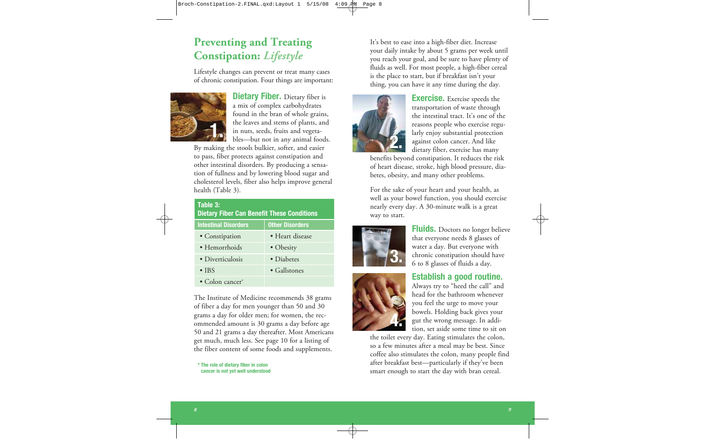## **Preventing and Treating Constipation:** *Lifestyle*

Lifestyle changes can prevent or treat many cases of chronic constipation. Four things are important:



**Dietary Fiber.** Dietary fiber is a mix of complex carbohydrates found in the bran of whole grains, the leaves and stems of plants, and in nuts, seeds, fruits and vegetables—but not in any animal foods.

By making the stools bulkier, softer, and easier to pass, fiber protects against constipation and other intestinal disorders. By producing a sensation of fullness and by lowering blood sugar and cholesterol levels, fiber also helps improve general health (Table 3).

| Table 3:<br><b>Dietary Fiber Can Benefit These Conditions</b> |                        |  |
|---------------------------------------------------------------|------------------------|--|
| <b>Intestinal Disorders</b>                                   | <b>Other Disorders</b> |  |
| • Constipation                                                | • Heart disease        |  |
| · Hemorrhoids                                                 | • Obesity              |  |
| • Diverticulosis                                              | • Diabetes             |  |
| $\bullet$ IBS                                                 | $\bullet$ Gallstones   |  |
| • Colon cancer*                                               |                        |  |

The Institute of Medicine recommends 38 grams of fiber a day for men younger than 50 and 30 grams a day for older men; for women, the recommended amount is 30 grams a day before age 50 and 21 grams a day thereafter. Most Americans get much, much less. See page 10 for a listing of the fiber content of some foods and supplements.

**\* The role of dietary fiber in colon cancer is not yet well understood**

It's best to ease into a high-fiber diet. Increase your daily intake by about 5 grams per week until you reach your goal, and be sure to have plenty of fluids as well. For most people, a high-fiber cereal is the place to start, but if breakfast isn't your thing, you can have it any time during the day.



**Exercise.** Exercise speeds the transportation of waste through the intestinal tract. It's one of the reasons people who exercise regularly enjoy substantial protection against colon cancer. And like dietary fiber, exercise has many

benefits beyond constipation. It reduces the risk of heart disease, stroke, high blood pressure, diabetes, obesity, and many other problems.

For the sake of your heart and your health, as well as your bowel function, you should exercise nearly every day. A 30-minute walk is a great way to start.



**4.**

**Fluids.** Doctors no longer believe that everyone needs 8 glasses of water a day. But everyone with chronic constipation should have 6 to 8 glasses of fluids a day.

#### **Establish a good routine.**

Always try to "heed the call" and head for the bathroom whenever you feel the urge to move your bowels. Holding back gives your gut the wrong message. In addition, set aside some time to sit on

the toilet every day. Eating stimulates the colon, so a few minutes after a meal may be best. Since coffee also stimulates the colon, many people find after breakfast best—particularly if they've been smart enough to start the day with bran cereal.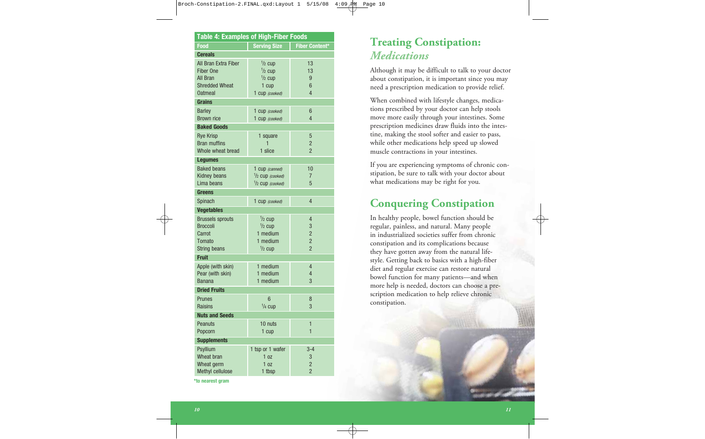| <b>Table 4: Examples of High-Fiber Foods</b> |                            |                       |  |
|----------------------------------------------|----------------------------|-----------------------|--|
| <b>Food</b>                                  | <b>Serving Size</b>        | <b>Fiber Content*</b> |  |
| <b>Cereals</b>                               |                            |                       |  |
| All Bran Extra Fiber                         | $\frac{1}{2}$ cup          | 13                    |  |
| Fiber One                                    | $1/2$ cup                  | 13                    |  |
| All Bran                                     | $1/2$ cup                  | 9                     |  |
| <b>Shredded Wheat</b>                        | 1 cup                      | $6\phantom{1}$        |  |
| <b>Oatmeal</b>                               | 1 cup (cooked)             | 4                     |  |
| <b>Grains</b>                                |                            |                       |  |
| <b>Barley</b>                                | 1 Cup (cooked)             | 6                     |  |
| <b>Brown rice</b>                            | 1 Cup (cooked)             | 4                     |  |
| <b>Baked Goods</b>                           |                            |                       |  |
| <b>Rye Krisp</b>                             | 1 square                   | 5                     |  |
| <b>Bran muffins</b>                          | 1                          | $\overline{c}$        |  |
| Whole wheat bread                            | 1 slice                    | $\overline{2}$        |  |
| <b>Lequmes</b>                               |                            |                       |  |
| <b>Baked beans</b>                           | 1 cup (canned)             | 10                    |  |
| <b>Kidney beans</b>                          | $1/2$ CUD (cooked)         | 7                     |  |
| Lima beans                                   | $\frac{1}{2}$ CUD (cooked) | 5                     |  |
| Greens                                       |                            |                       |  |
| Spinach                                      | 1 cup (cooked)             | 4                     |  |
| <b>Vegetables</b>                            |                            |                       |  |
| <b>Brussels sprouts</b>                      | $1/2$ cup                  | $\overline{4}$        |  |
| <b>Broccoli</b>                              | $1/2$ cup                  | 3                     |  |
| Carrot                                       | 1 medium                   | $\overline{2}$        |  |
| Tomato                                       | 1 medium                   | $\overline{2}$        |  |
| <b>String beans</b>                          | $1/2$ cup                  | $\overline{2}$        |  |
| <b>Fruit</b>                                 |                            |                       |  |
| Apple (with skin)                            | 1 medium                   | 4                     |  |
| Pear (with skin)                             | 1 medium                   | 4                     |  |
| <b>Banana</b>                                | 1 medium                   | 3                     |  |
| <b>Dried Fruits</b>                          |                            |                       |  |
| <b>Prunes</b>                                | 6                          | 8                     |  |
| <b>Raisins</b>                               | $1/4$ cup                  | 3                     |  |
| <b>Nuts and Seeds</b>                        |                            |                       |  |
| Peanuts                                      | 10 nuts                    | $\mathbf{1}$          |  |
| Popcorn                                      | 1 cup                      | 1                     |  |
| <b>Supplements</b>                           |                            |                       |  |
| Psyllium                                     | 1 tsp or 1 wafer           | $3 - 4$               |  |
| Wheat bran                                   | 1 <sub>oz</sub>            | 3                     |  |
| Wheat germ                                   | 1 <sub>0z</sub>            | $\overline{c}$        |  |
| Methyl cellulose                             | 1 tbsp                     | $\overline{2}$        |  |

**\*to nearest gram**

## **Treating Constipation:** *Medications*

Although it may be difficult to talk to your doctor about constipation, it is important since you may need a prescription medication to provide relief.

When combined with lifestyle changes, medications prescribed by your doctor can help stools move more easily through your intestines. Some prescription medicines draw fluids into the intestine, making the stool softer and easier to pass, while other medications help speed up slowed muscle contractions in your intestines.

If you are experiencing symptoms of chronic constipation, be sure to talk with your doctor about what medications may be right for you.

# **Conquering Constipation**

In healthy people, bowel function should be regular, painless, and natural. Many people in industrialized societies suffer from chronic constipation and its complications because they have gotten away from the natural lifestyle. Getting back to basics with a high-fiber diet and regular exercise can restore natural bowel function for many patients—and when more help is needed, doctors can choose a prescription medication to help relieve chronic constipation.